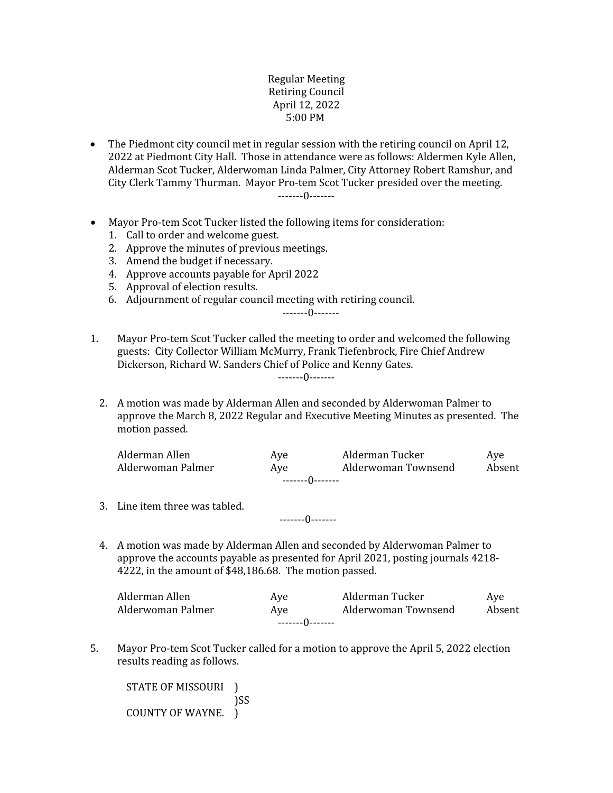## Regular Meeting Retiring Council April 12, 2022 5:00 PM

 The Piedmont city council met in regular session with the retiring council on April 12, 2022 at Piedmont City Hall. Those in attendance were as follows: Aldermen Kyle Allen, Alderman Scot Tucker, Alderwoman Linda Palmer, City Attorney Robert Ramshur, and City Clerk Tammy Thurman. Mayor Pro-tem Scot Tucker presided over the meeting.

-------0-------

- Mayor Pro-tem Scot Tucker listed the following items for consideration:
	- 1. Call to order and welcome guest.
	- 2. Approve the minutes of previous meetings.
	- 3. Amend the budget if necessary.
	- 4. Approve accounts payable for April 2022
	- 5. Approval of election results.
	- 6. Adjournment of regular council meeting with retiring council.

-------0-------

1. Mayor Pro-tem Scot Tucker called the meeting to order and welcomed the following guests: City Collector William McMurry, Frank Tiefenbrock, Fire Chief Andrew Dickerson, Richard W. Sanders Chief of Police and Kenny Gates. -------0-------

2. A motion was made by Alderman Allen and seconded by Alderwoman Palmer to approve the March 8, 2022 Regular and Executive Meeting Minutes as presented. The motion passed.

| Alderman Allen     | Ave | Alderman Tucker     | Ave    |  |  |  |
|--------------------|-----|---------------------|--------|--|--|--|
| Alderwoman Palmer  | Ave | Alderwoman Townsend | Absent |  |  |  |
| --------()-------- |     |                     |        |  |  |  |

- 3. Line item three was tabled.
- 4. A motion was made by Alderman Allen and seconded by Alderwoman Palmer to approve the accounts payable as presented for April 2021, posting journals 4218- 4222, in the amount of \$48,186.68. The motion passed.

-------0-------

| Alderman Allen    | Ave | Alderman Tucker     | Ave    |  |  |
|-------------------|-----|---------------------|--------|--|--|
| Alderwoman Palmer | Ave | Alderwoman Townsend | Absent |  |  |
| --------()------- |     |                     |        |  |  |

5. Mayor Pro-tem Scot Tucker called for a motion to approve the April 5, 2022 election results reading as follows.

STATE OF MISSOURI<sup>1</sup> )SS COUNTY OF WAYNE. )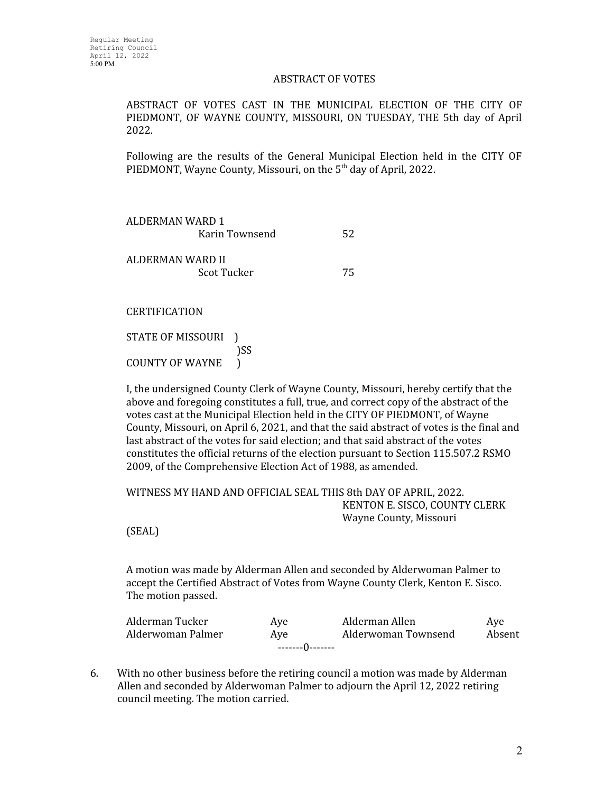## ABSTRACT OF VOTES

ABSTRACT OF VOTES CAST IN THE MUNICIPAL ELECTION OF THE CITY OF PIEDMONT, OF WAYNE COUNTY, MISSOURI, ON TUESDAY, THE 5th day of April 2022.

Following are the results of the General Municipal Election held in the CITY OF PIEDMONT, Wayne County, Missouri, on the 5<sup>th</sup> day of April, 2022.

ALDERMAN WARD 1 Karin Townsend 52 ALDERMAN WARD II Scot Tucker 75

**CERTIFICATION** 

STATE OF MISSOURI<sup>1</sup> )SS COUNTY OF WAYNE )

I, the undersigned County Clerk of Wayne County, Missouri, hereby certify that the above and foregoing constitutes a full, true, and correct copy of the abstract of the votes cast at the Municipal Election held in the CITY OF PIEDMONT, of Wayne County, Missouri, on April 6, 2021, and that the said abstract of votes is the final and last abstract of the votes for said election; and that said abstract of the votes constitutes the official returns of the election pursuant to Section 115.507.2 RSMO 2009, of the Comprehensive Election Act of 1988, as amended.

WITNESS MY HAND AND OFFICIAL SEAL THIS 8th DAY OF APRIL, 2022. KENTON E. SISCO, COUNTY CLERK Wayne County, Missouri

(SEAL)

A motion was made by Alderman Allen and seconded by Alderwoman Palmer to accept the Certified Abstract of Votes from Wayne County Clerk, Kenton E. Sisco. The motion passed.

| Alderman Tucker   | Ave | Alderman Allen      | Ave    |  |  |  |
|-------------------|-----|---------------------|--------|--|--|--|
| Alderwoman Palmer | Ave | Alderwoman Townsend | Absent |  |  |  |
| --------0-------  |     |                     |        |  |  |  |

6. With no other business before the retiring council a motion was made by Alderman Allen and seconded by Alderwoman Palmer to adjourn the April 12, 2022 retiring council meeting. The motion carried.